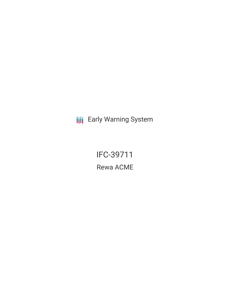**III** Early Warning System

IFC-39711 Rewa ACME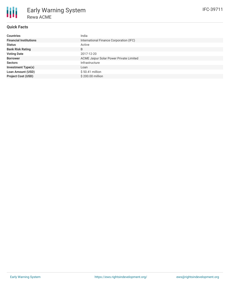

# **Quick Facts**

| <b>Countries</b>              | India                                          |
|-------------------------------|------------------------------------------------|
| <b>Financial Institutions</b> | International Finance Corporation (IFC)        |
| <b>Status</b>                 | Active                                         |
| <b>Bank Risk Rating</b>       | B                                              |
| <b>Voting Date</b>            | 2017-12-20                                     |
| <b>Borrower</b>               | <b>ACME Jaipur Solar Power Private Limited</b> |
| <b>Sectors</b>                | Infrastructure                                 |
| <b>Investment Type(s)</b>     | Loan                                           |
| <b>Loan Amount (USD)</b>      | $$50.41$ million                               |
| <b>Project Cost (USD)</b>     | \$200,00 million                               |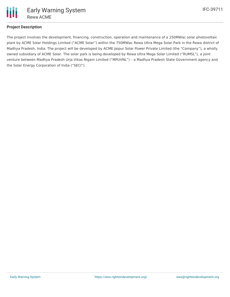

## **Project Description**

The project involves the development, financing, construction, operation and maintenance of a 250MWac solar photovoltaic plant by ACME Solar Holdings Limited ("ACME Solar") within the 750MWac Rewa Ultra Mega Solar Park in the Rewa district of Madhya Pradesh, India. The project will be developed by ACME Jaipur Solar Power Private Limited (the "Company"), a wholly owned subsidiary of ACME Solar. The solar park is being developed by Rewa Ultra Mega Solar Limited ("RUMSL"), a joint venture between Madhya Pradesh Urja Vikas Nigam Limited ("MPUVNL") – a Madhya Pradesh State Government agency and the Solar Energy Corporation of India ("SECI").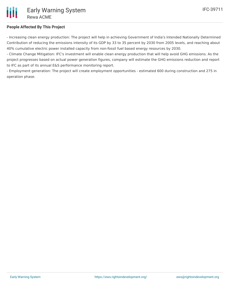

## **People Affected By This Project**

- Increasing clean energy production: The project will help in achieving Government of India's Intended Nationally Determined Contribution of reducing the emissions intensity of its GDP by 33 to 35 percent by 2030 from 2005 levels, and reaching about 40% cumulative electric power installed capacity from non-fossil fuel based energy resources by 2030.

- Climate Change Mitigation: IFC's investment will enable clean energy production that will help avoid GHG emissions. As the project progresses based on actual power generation figures, company will estimate the GHG emissions reduction and report to IFC as part of its annual E&S performance monitoring report.

- Employment generation: The project will create employment opportunities - estimated 600 during construction and 275 in operation phase.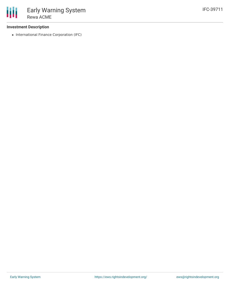#### **Investment Description**

• International Finance Corporation (IFC)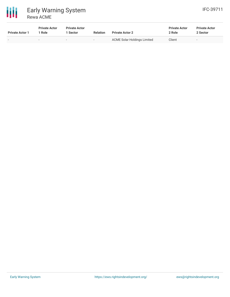

#### 冊 Early Warning System Rewa ACME

| <b>Private Actor 1</b> | <b>Private Actor</b><br>Role | <b>Private Actor</b><br><b>Sector</b> | <b>Relation</b> | <b>Private Actor 2</b>             | <b>Private Actor</b><br>2 Role | <b>Private Actor</b><br>2 Sector |
|------------------------|------------------------------|---------------------------------------|-----------------|------------------------------------|--------------------------------|----------------------------------|
| $\sim$                 | $\overline{\phantom{a}}$     | $\overline{\phantom{0}}$              | $\sim$          | <b>ACME Solar Holdings Limited</b> | Client                         |                                  |